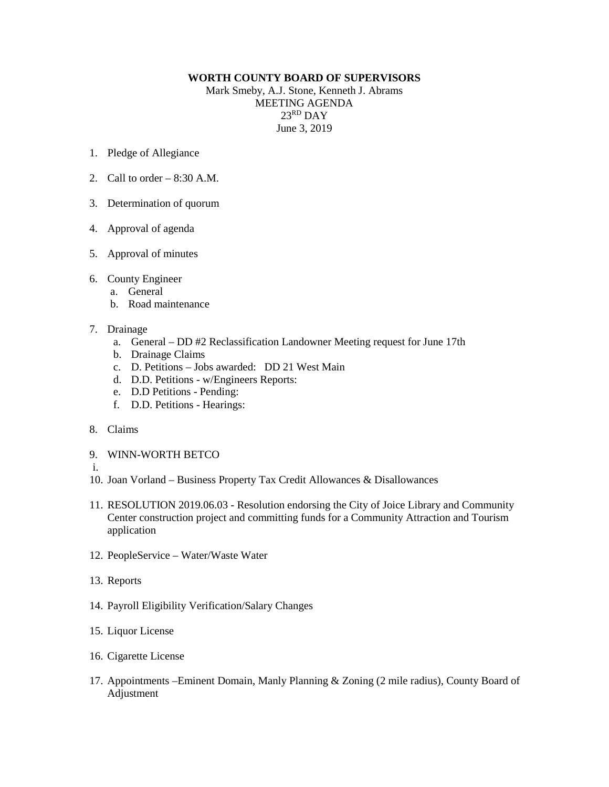## **WORTH COUNTY BOARD OF SUPERVISORS**

Mark Smeby, A.J. Stone, Kenneth J. Abrams MEETING AGENDA 23RD DAY June 3, 2019

- 1. Pledge of Allegiance
- 2. Call to order  $-8:30$  A.M.
- 3. Determination of quorum
- 4. Approval of agenda
- 5. Approval of minutes
- 6. County Engineer
	- a. General
	- b. Road maintenance
- 7. Drainage
	- a. General DD #2 Reclassification Landowner Meeting request for June 17th
	- b. Drainage Claims
	- c. D. Petitions Jobs awarded: DD 21 West Main
	- d. D.D. Petitions w/Engineers Reports:
	- e. D.D Petitions Pending:
	- f. D.D. Petitions Hearings:
- 8. Claims
- 9. WINN-WORTH BETCO
- i.
- 10. Joan Vorland Business Property Tax Credit Allowances & Disallowances
- 11. RESOLUTION 2019.06.03 Resolution endorsing the City of Joice Library and Community Center construction project and committing funds for a Community Attraction and Tourism application
- 12. PeopleService Water/Waste Water
- 13. Reports
- 14. Payroll Eligibility Verification/Salary Changes
- 15. Liquor License
- 16. Cigarette License
- 17. Appointments –Eminent Domain, Manly Planning & Zoning (2 mile radius), County Board of Adjustment